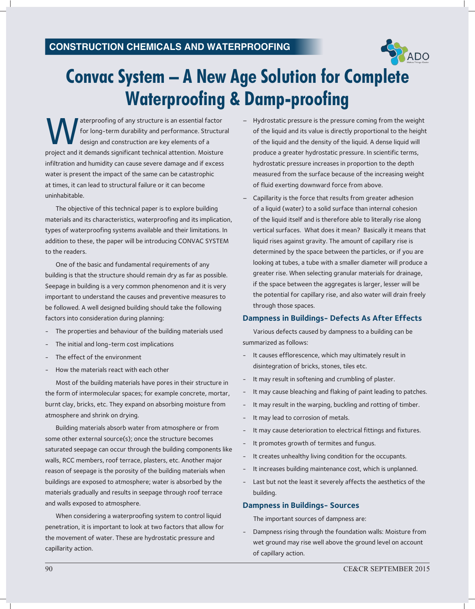

# **Convac System – A New Age Solution for Complete Waterproofing & Damp-proofing**

Materproofing of any structure is an essential factor<br>for long-term durability and performance. Structure<br>design and construction are key elements of a<br>project and it demands significant technical attention. Moisture aterproofing of any structure is an essential factor for long-term durability and performance. Structural design and construction are key elements of a infiltration and humidity can cause severe damage and if excess water is present the impact of the same can be catastrophic at times, it can lead to structural failure or it can become uninhabitable.

The objective of this technical paper is to explore building materials and its characteristics, waterproofing and its implication, types of waterproofing systems available and their limitations. In addition to these, the paper will be introducing CONVAC SYSTEM to the readers.

One of the basic and fundamental requirements of any building is that the structure should remain dry as far as possible. Seepage in building is a very common phenomenon and it is very important to understand the causes and preventive measures to be followed. A well designed building should take the following factors into consideration during planning:

- The properties and behaviour of the building materials used
- The initial and long-term cost implications
- The effect of the environment
- How the materials react with each other

Most of the building materials have pores in their structure in the form of intermolecular spaces; for example concrete, mortar, burnt clay, bricks, etc. They expand on absorbing moisture from atmosphere and shrink on drying.

Building materials absorb water from atmosphere or from some other external source(s); once the structure becomes saturated seepage can occur through the building components like walls, RCC members, roof terrace, plasters, etc. Another major reason of seepage is the porosity of the building materials when buildings are exposed to atmosphere; water is absorbed by the materials gradually and results in seepage through roof terrace and walls exposed to atmosphere.

When considering a waterproofing system to control liquid penetration, it is important to look at two factors that allow for the movement of water. These are hydrostatic pressure and capillarity action.

- Hydrostatic pressure is the pressure coming from the weight of the liquid and its value is directly proportional to the height of the liquid and the density of the liquid. A dense liquid will produce a greater hydrostatic pressure. In scientific terms, hydrostatic pressure increases in proportion to the depth measured from the surface because of the increasing weight of fluid exerting downward force from above.
- Capillarity is the force that results from greater adhesion of a liquid (water) to a solid surface than internal cohesion of the liquid itself and is therefore able to literally rise along vertical surfaces. What does it mean? Basically it means that liquid rises against gravity. The amount of capillary rise is determined by the space between the particles, or if you are looking at tubes, a tube with a smaller diameter will produce a greater rise. When selecting granular materials for drainage, if the space between the aggregates is larger, lesser will be the potential for capillary rise, and also water will drain freely through those spaces.

#### **Dampness in Buildings- Defects As After Effects**

Various defects caused by dampness to a building can be summarized as follows:

- It causes efflorescence, which may ultimately result in disintegration of bricks, stones, tiles etc.
- It may result in softening and crumbling of plaster.
- It may cause bleaching and flaking of paint leading to patches.
- It may result in the warping, buckling and rotting of timber.
- It may lead to corrosion of metals.
- It may cause deterioration to electrical fittings and fixtures.
- It promotes growth of termites and fungus.
- It creates unhealthy living condition for the occupants.
- It increases building maintenance cost, which is unplanned.
- Last but not the least it severely affects the aesthetics of the building.

### **Dampness in Buildings- Sources**

The important sources of dampness are:

Dampness rising through the foundation walls: Moisture from wet ground may rise well above the ground level on account of capillary action.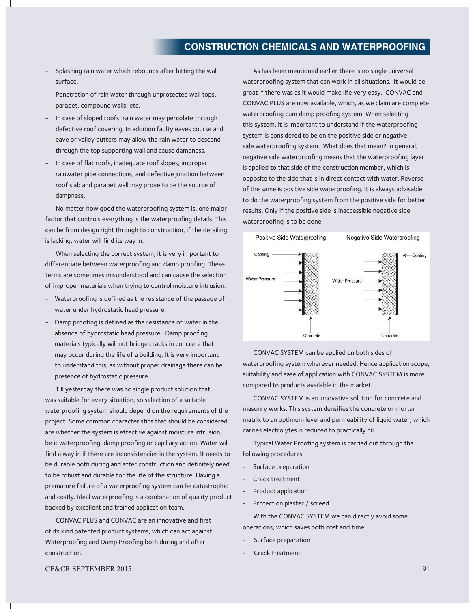## **ConstruCtion ChemiCals and Waterproofing**

- Splashing rain water which rebounds after hitting the wall surface.
- Penetration of rain water through unprotected wall tops, parapet, compound walls, etc.
- In case of sloped roofs, rain water may percolate through defective roof covering. In addition faulty eaves course and eave or valley gutters may allow the rain water to descend through the top supporting wall and cause dampness.
- In case of flat roofs, inadequate roof slopes, improper rainwater pipe connections, and defective junction between roof slab and parapet wall may prove to be the source of dampness.

No matter how good the waterproofing system is, one major factor that controls everything is the waterproofing details. This can be from design right through to construction, if the detailing is lacking, water will find its way in.

When selecting the correct system, it is very important to differentiate between waterproofing and damp proofing. These terms are sometimes misunderstood and can cause the selection of improper materials when trying to control moisture intrusion.

- Waterproofing is defined as the resistance of the passage of water under hydrostatic head pressure.
- Damp proofing is defined as the resistance of water in the absence of hydrostatic head pressure. Damp proofing materials typically will not bridge cracks in concrete that may occur during the life of a building. It is very important to understand this, as without proper drainage there can be presence of hydrostatic pressure.

Till yesterday there was no single product solution that was suitable for every situation, so selection of a suitable waterproofing system should depend on the requirements of the project. Some common characteristics that should be considered are whether the system is effective against moisture intrusion, be it waterproofing, damp proofing or capillary action. Water will find a way in if there are inconsistencies in the system. It needs to be durable both during and after construction and definitely need to be robust and durable for the life of the structure. Having a premature failure of a waterproofing system can be catastrophic and costly. Ideal waterproofing is a combination of quality product backed by excellent and trained application team.

CONVAC PLUS and CONVAC are an innovative and first of its kind patented product systems, which can act against Waterproofing and Damp Proofing both during and after construction.

As has been mentioned earlier there is no single universal waterproofing system that can work in all situations. It would be great if there was as it would make life very easy. CONVAC and CONVAC PLUS are now available, which, as we claim are complete waterproofing cum damp proofing system. When selecting this system, it is important to understand if the waterproofing system is considered to be on the positive side or negative side waterproofing system. What does that mean? In general, negative side waterproofing means that the waterproofing layer is applied to that side of the construction member, which is opposite to the side that is in direct contact with water. Reverse of the same is positive side waterproofing. It is always advisable to do the waterproofing system from the positive side for better results. Only if the positive side is inaccessible negative side waterproofing is to be done.



CONVAC SYSTEM can be applied on both sides of waterproofing system wherever needed. Hence application scope, suitability and ease of application with CONVAC SYSTEM is more compared to products available in the market.

CONVAC SYSTEM is an innovative solution for concrete and masonry works. This system densifies the concrete or mortar matrix to an optimum level and permeability of liquid water, which carries electrolytes is reduced to practically nil.

Typical Water Proofing system is carried out through the following procedures

- Surface preparation
- Crack treatment
- Product application
- Protection plaster / screed

With the CONVAC SYSTEM we can directly avoid some operations, which saves both cost and time:

- Surface preparation
- Crack treatment